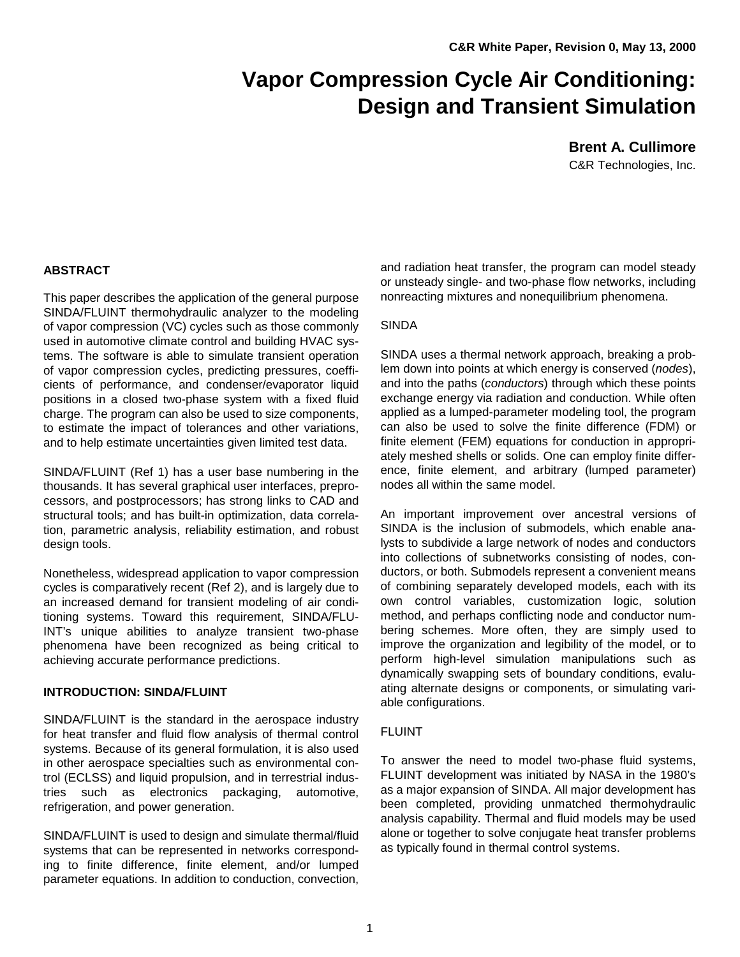# **Vapor Compression Cycle Air Conditioning: Design and Transient Simulation**

**Brent A. Cullimore** C&R Technologies, Inc.

## **ABSTRACT**

This paper describes the application of the general purpose SINDA/FLUINT thermohydraulic analyzer to the modeling of vapor compression (VC) cycles such as those commonly used in automotive climate control and building HVAC systems. The software is able to simulate transient operation of vapor compression cycles, predicting pressures, coefficients of performance, and condenser/evaporator liquid positions in a closed two-phase system with a fixed fluid charge. The program can also be used to size components, to estimate the impact of tolerances and other variations, and to help estimate uncertainties given limited test data.

SINDA/FLUINT (Ref 1) has a user base numbering in the thousands. It has several graphical user interfaces, preprocessors, and postprocessors; has strong links to CAD and structural tools; and has built-in optimization, data correlation, parametric analysis, reliability estimation, and robust design tools.

Nonetheless, widespread application to vapor compression cycles is comparatively recent (Ref 2), and is largely due to an increased demand for transient modeling of air conditioning systems. Toward this requirement, SINDA/FLU-INT's unique abilities to analyze transient two-phase phenomena have been recognized as being critical to achieving accurate performance predictions.

## **INTRODUCTION: SINDA/FLUINT**

SINDA/FLUINT is the standard in the aerospace industry for heat transfer and fluid flow analysis of thermal control systems. Because of its general formulation, it is also used in other aerospace specialties such as environmental control (ECLSS) and liquid propulsion, and in terrestrial industries such as electronics packaging, automotive, refrigeration, and power generation.

SINDA/FLUINT is used to design and simulate thermal/fluid systems that can be represented in networks corresponding to finite difference, finite element, and/or lumped parameter equations. In addition to conduction, convection,

and radiation heat transfer, the program can model steady or unsteady single- and two-phase flow networks, including nonreacting mixtures and nonequilibrium phenomena.

# SINDA

SINDA uses a thermal network approach, breaking a problem down into points at which energy is conserved (*nodes*), and into the paths (*conductors*) through which these points exchange energy via radiation and conduction. While often applied as a lumped-parameter modeling tool, the program can also be used to solve the finite difference (FDM) or finite element (FEM) equations for conduction in appropriately meshed shells or solids. One can employ finite difference, finite element, and arbitrary (lumped parameter) nodes all within the same model.

An important improvement over ancestral versions of SINDA is the inclusion of submodels, which enable analysts to subdivide a large network of nodes and conductors into collections of subnetworks consisting of nodes, conductors, or both. Submodels represent a convenient means of combining separately developed models, each with its own control variables, customization logic, solution method, and perhaps conflicting node and conductor numbering schemes. More often, they are simply used to improve the organization and legibility of the model, or to perform high-level simulation manipulations such as dynamically swapping sets of boundary conditions, evaluating alternate designs or components, or simulating variable configurations.

## FLUINT

To answer the need to model two-phase fluid systems, FLUINT development was initiated by NASA in the 1980's as a major expansion of SINDA. All major development has been completed, providing unmatched thermohydraulic analysis capability. Thermal and fluid models may be used alone or together to solve conjugate heat transfer problems as typically found in thermal control systems.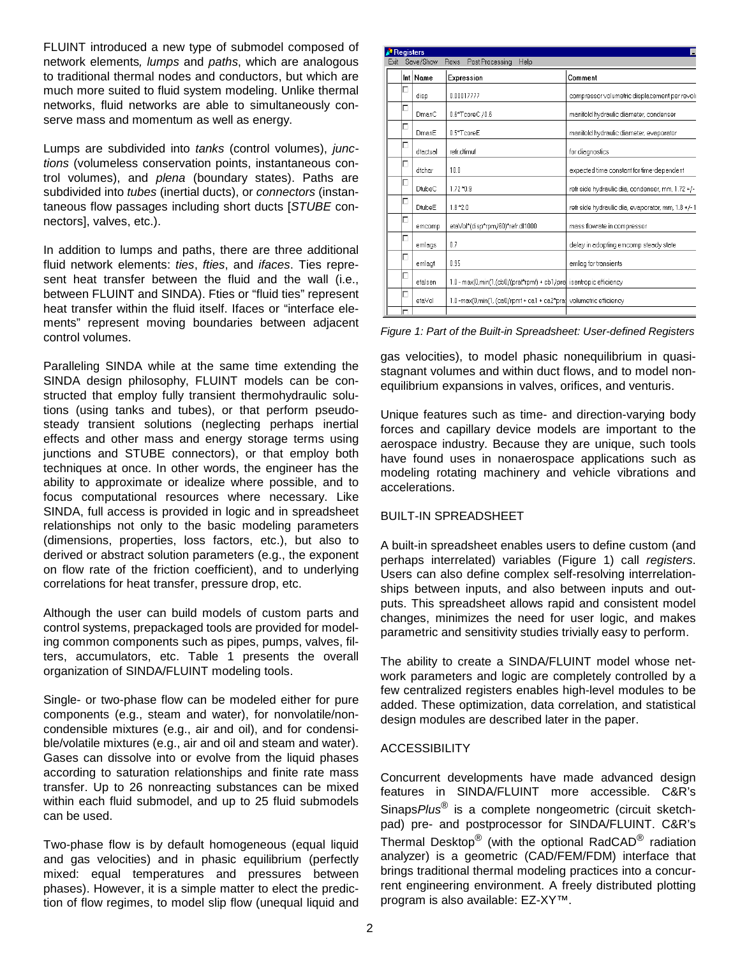FLUINT introduced a new type of submodel composed of network elements*, lumps* and *paths*, which are analogous to traditional thermal nodes and conductors, but which are much more suited to fluid system modeling. Unlike thermal networks, fluid networks are able to simultaneously conserve mass and momentum as well as energy.

Lumps are subdivided into *tanks* (control volumes), *junctions* (volumeless conservation points, instantaneous control volumes), and *plena* (boundary states). Paths are subdivided into *tubes* (inertial ducts), or *connectors* (instantaneous flow passages including short ducts [*STUBE* connectors], valves, etc.).

In addition to lumps and paths, there are three additional fluid network elements: *ties*, *fties*, and *ifaces*. Ties represent heat transfer between the fluid and the wall (i.e., between FLUINT and SINDA). Fties or "fluid ties" represent heat transfer within the fluid itself. Ifaces or "interface elements" represent moving boundaries between adjacent control volumes.

Paralleling SINDA while at the same time extending the SINDA design philosophy, FLUINT models can be constructed that employ fully transient thermohydraulic solutions (using tanks and tubes), or that perform pseudosteady transient solutions (neglecting perhaps inertial effects and other mass and energy storage terms using junctions and STUBE connectors), or that employ both techniques at once. In other words, the engineer has the ability to approximate or idealize where possible, and to focus computational resources where necessary. Like SINDA, full access is provided in logic and in spreadsheet relationships not only to the basic modeling parameters (dimensions, properties, loss factors, etc.), but also to derived or abstract solution parameters (e.g., the exponent on flow rate of the friction coefficient), and to underlying correlations for heat transfer, pressure drop, etc.

Although the user can build models of custom parts and control systems, prepackaged tools are provided for modeling common components such as pipes, pumps, valves, filters, accumulators, etc. Table 1 presents the overall organization of SINDA/FLUINT modeling tools.

Single- or two-phase flow can be modeled either for pure components (e.g., steam and water), for nonvolatile/noncondensible mixtures (e.g., air and oil), and for condensible/volatile mixtures (e.g., air and oil and steam and water). Gases can dissolve into or evolve from the liquid phases according to saturation relationships and finite rate mass transfer. Up to 26 nonreacting substances can be mixed within each fluid submodel, and up to 25 fluid submodels can be used.

Two-phase flow is by default homogeneous (equal liquid and gas velocities) and in phasic equilibrium (perfectly mixed: equal temperatures and pressures between phases). However, it is a simple matter to elect the prediction of flow regimes, to model slip flow (unequal liquid and

| <b>Registers</b> |                                                     |               |                                                                    |                                                   |  |
|------------------|-----------------------------------------------------|---------------|--------------------------------------------------------------------|---------------------------------------------------|--|
| Exit             | Save/Show<br>Post Processing<br><b>Rows</b><br>Help |               |                                                                    |                                                   |  |
|                  |                                                     | Int Name      | <b>Expression</b>                                                  | Comment                                           |  |
|                  | Г                                                   | disp          | 0.00017777                                                         | compressor volumetric displacement per revolu     |  |
|                  | г                                                   | DmanC         | 0.6*TcoreC / 0.6                                                   | manifold hydraulic diameter, condenser            |  |
|                  | г                                                   | DmanE         | 0.5*TcoreE                                                         | manifold hydraulic diameter, evaporator           |  |
|                  | г                                                   | dtactual      | refr.dtimuf                                                        | for diagnostics                                   |  |
|                  | г                                                   | dtchar        | 10.0                                                               | expected time constant for time-dependent         |  |
|                  | г                                                   | <b>DtubeC</b> | 1.72 * 0.9                                                         | refr side hydraulic dia, condenser, mm, 1.72 +/-  |  |
|                  | г                                                   | DtubeE        | $1.8*2.0$                                                          | refr side hydraulic dia, evaporator, mm, 1.8 +/-1 |  |
|                  | г                                                   | emcomp        | etaVol*(disp*rpm/60)*refr.dl1000                                   | mass flowrate in compressor                       |  |
|                  | г                                                   | emlags        | 0.7                                                                | delay in adopting emcomp steady state             |  |
|                  | г                                                   | emlagt        | 0.95                                                               | emlag for transients                              |  |
|                  | г                                                   | etalsen       | 1.0 - max(0,min(1,(cb0/(praf*rpmf) + cb1/pra isentropic efficiency |                                                   |  |
|                  | г                                                   | etaVol        | 1.0-max(0.min(1, (ca0/rpmf + ca1 + ca2*pra) volumetric efficiency  |                                                   |  |
|                  | г                                                   |               |                                                                    |                                                   |  |

*Figure 1: Part of the Built-in Spreadsheet: User-defined Registers*

gas velocities), to model phasic nonequilibrium in quasistagnant volumes and within duct flows, and to model nonequilibrium expansions in valves, orifices, and venturis.

Unique features such as time- and direction-varying body forces and capillary device models are important to the aerospace industry. Because they are unique, such tools have found uses in nonaerospace applications such as modeling rotating machinery and vehicle vibrations and accelerations.

## BUILT-IN SPREADSHEET

A built-in spreadsheet enables users to define custom (and perhaps interrelated) variables (Figure 1) call *registers*. Users can also define complex self-resolving interrelationships between inputs, and also between inputs and outputs. This spreadsheet allows rapid and consistent model changes, minimizes the need for user logic, and makes parametric and sensitivity studies trivially easy to perform.

The ability to create a SINDA/FLUINT model whose network parameters and logic are completely controlled by a few centralized registers enables high-level modules to be added. These optimization, data correlation, and statistical design modules are described later in the paper.

# **ACCESSIBILITY**

Concurrent developments have made advanced design features in SINDA/FLUINT more accessible. C&R's Sinaps*Plus*® is a complete nongeometric (circuit sketchpad) pre- and postprocessor for SINDA/FLUINT. C&R's Thermal Desktop® (with the optional RadCAD® radiation analyzer) is a geometric (CAD/FEM/FDM) interface that brings traditional thermal modeling practices into a concurrent engineering environment. A freely distributed plotting program is also available: EZ-XY™.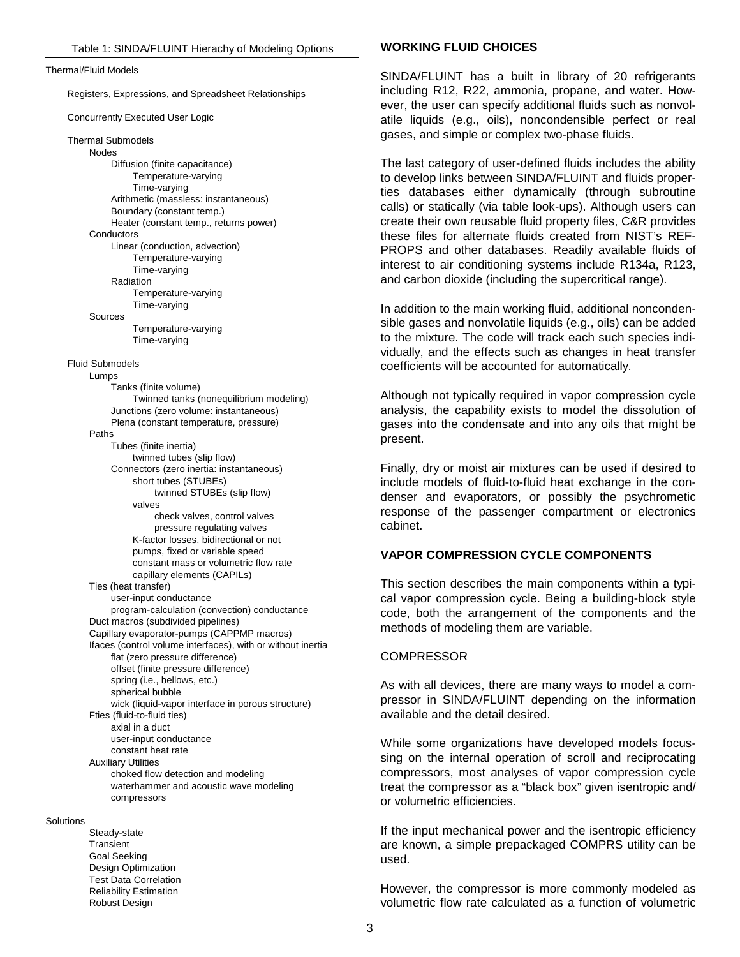Thermal/Fluid Models

Registers, Expressions, and Spreadsheet Relationships

Concurrently Executed User Logic

Thermal Submodels Nodes Diffusion (finite capacitance) Temperature-varying Time-varying Arithmetic (massless: instantaneous) Boundary (constant temp.) Heater (constant temp., returns power) **Conductors** Linear (conduction, advection) Temperature-varying Time-varying Radiation Temperature-varying Time-varying Sources Temperature-varying Time-varying Fluid Submodels Lumps Tanks (finite volume) Twinned tanks (nonequilibrium modeling) Junctions (zero volume: instantaneous) Plena (constant temperature, pressure) Paths Tubes (finite inertia) twinned tubes (slip flow) Connectors (zero inertia: instantaneous) short tubes (STUBEs) twinned STUBEs (slip flow) valves check valves, control valves pressure regulating valves K-factor losses, bidirectional or not pumps, fixed or variable speed constant mass or volumetric flow rate capillary elements (CAPILs) Ties (heat transfer) user-input conductance program-calculation (convection) conductance Duct macros (subdivided pipelines) Capillary evaporator-pumps (CAPPMP macros) Ifaces (control volume interfaces), with or without inertia flat (zero pressure difference) offset (finite pressure difference) spring (i.e., bellows, etc.) spherical bubble wick (liquid-vapor interface in porous structure) Fties (fluid-to-fluid ties) axial in a duct user-input conductance constant heat rate Auxiliary Utilities choked flow detection and modeling waterhammer and acoustic wave modeling compressors

## **Solutions**

Steady-state Transient Goal Seeking Design Optimization Test Data Correlation Reliability Estimation Robust Design

## **WORKING FLUID CHOICES**

SINDA/FLUINT has a built in library of 20 refrigerants including R12, R22, ammonia, propane, and water. However, the user can specify additional fluids such as nonvolatile liquids (e.g., oils), noncondensible perfect or real gases, and simple or complex two-phase fluids.

The last category of user-defined fluids includes the ability to develop links between SINDA/FLUINT and fluids properties databases either dynamically (through subroutine calls) or statically (via table look-ups). Although users can create their own reusable fluid property files, C&R provides these files for alternate fluids created from NIST's REF-PROPS and other databases. Readily available fluids of interest to air conditioning systems include R134a, R123, and carbon dioxide (including the supercritical range).

In addition to the main working fluid, additional noncondensible gases and nonvolatile liquids (e.g., oils) can be added to the mixture. The code will track each such species individually, and the effects such as changes in heat transfer coefficients will be accounted for automatically.

Although not typically required in vapor compression cycle analysis, the capability exists to model the dissolution of gases into the condensate and into any oils that might be present.

Finally, dry or moist air mixtures can be used if desired to include models of fluid-to-fluid heat exchange in the condenser and evaporators, or possibly the psychrometic response of the passenger compartment or electronics cabinet.

## **VAPOR COMPRESSION CYCLE COMPONENTS**

This section describes the main components within a typical vapor compression cycle. Being a building-block style code, both the arrangement of the components and the methods of modeling them are variable.

#### **COMPRESSOR**

As with all devices, there are many ways to model a compressor in SINDA/FLUINT depending on the information available and the detail desired.

While some organizations have developed models focussing on the internal operation of scroll and reciprocating compressors, most analyses of vapor compression cycle treat the compressor as a "black box" given isentropic and/ or volumetric efficiencies.

If the input mechanical power and the isentropic efficiency are known, a simple prepackaged COMPRS utility can be used.

However, the compressor is more commonly modeled as volumetric flow rate calculated as a function of volumetric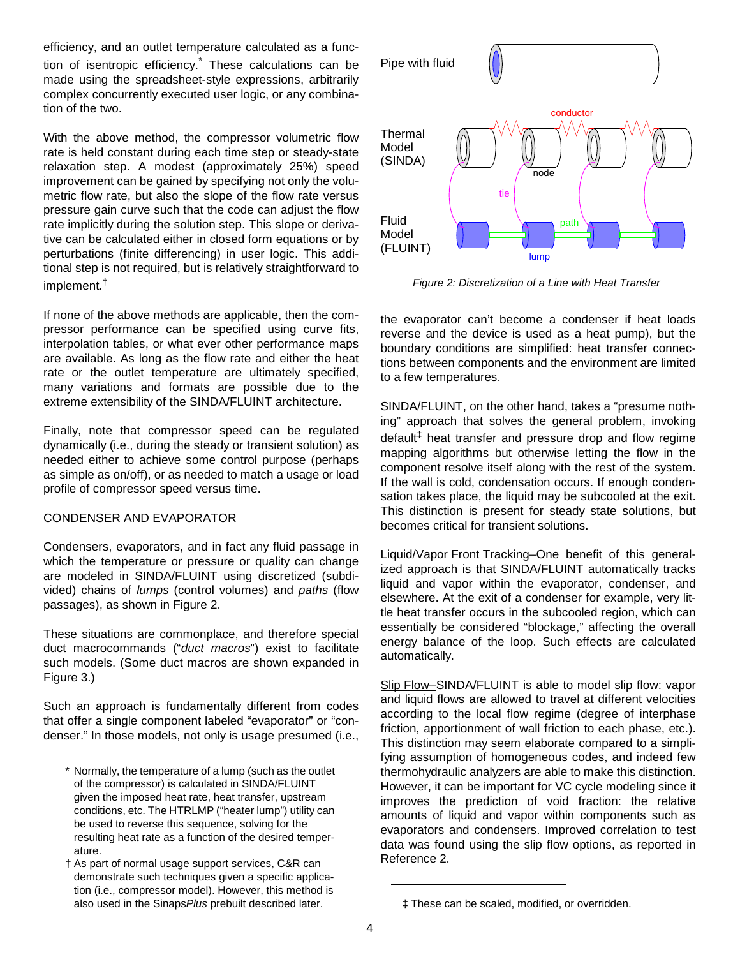efficiency, and an outlet temperature calculated as a function of isentropic efficiency.<sup>\*</sup> These calculations can be made using the spreadsheet-style expressions, arbitrarily complex concurrently executed user logic, or any combination of the two.

With the above method, the compressor volumetric flow rate is held constant during each time step or steady-state relaxation step. A modest (approximately 25%) speed improvement can be gained by specifying not only the volumetric flow rate, but also the slope of the flow rate versus pressure gain curve such that the code can adjust the flow rate implicitly during the solution step. This slope or derivative can be calculated either in closed form equations or by perturbations (finite differencing) in user logic. This additional step is not required, but is relatively straightforward to implement.†

If none of the above methods are applicable, then the compressor performance can be specified using curve fits, interpolation tables, or what ever other performance maps are available. As long as the flow rate and either the heat rate or the outlet temperature are ultimately specified, many variations and formats are possible due to the extreme extensibility of the SINDA/FLUINT architecture.

Finally, note that compressor speed can be regulated dynamically (i.e., during the steady or transient solution) as needed either to achieve some control purpose (perhaps as simple as on/off), or as needed to match a usage or load profile of compressor speed versus time.

## CONDENSER AND EVAPORATOR

Condensers, evaporators, and in fact any fluid passage in which the temperature or pressure or quality can change are modeled in SINDA/FLUINT using discretized (subdivided) chains of *lumps* (control volumes) and *paths* (flow passages), as shown in Figure 2.

These situations are commonplace, and therefore special duct macrocommands ("*duct macros*") exist to facilitate such models. (Some duct macros are shown expanded in Figure 3.)

Such an approach is fundamentally different from codes that offer a single component labeled "evaporator" or "condenser." In those models, not only is usage presumed (i.e.,



*Figure 2: Discretization of a Line with Heat Transfer*

the evaporator can't become a condenser if heat loads reverse and the device is used as a heat pump), but the boundary conditions are simplified: heat transfer connections between components and the environment are limited to a few temperatures.

SINDA/FLUINT, on the other hand, takes a "presume nothing" approach that solves the general problem, invoking default<sup>‡</sup> heat transfer and pressure drop and flow regime mapping algorithms but otherwise letting the flow in the component resolve itself along with the rest of the system. If the wall is cold, condensation occurs. If enough condensation takes place, the liquid may be subcooled at the exit. This distinction is present for steady state solutions, but becomes critical for transient solutions.

Liquid/Vapor Front Tracking–One benefit of this generalized approach is that SINDA/FLUINT automatically tracks liquid and vapor within the evaporator, condenser, and elsewhere. At the exit of a condenser for example, very little heat transfer occurs in the subcooled region, which can essentially be considered "blockage," affecting the overall energy balance of the loop. Such effects are calculated automatically.

Slip Flow-SINDA/FLUINT is able to model slip flow: vapor and liquid flows are allowed to travel at different velocities according to the local flow regime (degree of interphase friction, apportionment of wall friction to each phase, etc.). This distinction may seem elaborate compared to a simplifying assumption of homogeneous codes, and indeed few thermohydraulic analyzers are able to make this distinction. However, it can be important for VC cycle modeling since it improves the prediction of void fraction: the relative amounts of liquid and vapor within components such as evaporators and condensers. Improved correlation to test data was found using the slip flow options, as reported in Reference 2.

<sup>\*</sup> Normally, the temperature of a lump (such as the outlet of the compressor) is calculated in SINDA/FLUINT given the imposed heat rate, heat transfer, upstream conditions, etc. The HTRLMP ("heater lump") utility can be used to reverse this sequence, solving for the resulting heat rate as a function of the desired temperature.

<sup>†</sup> As part of normal usage support services, C&R can demonstrate such techniques given a specific application (i.e., compressor model). However, this method is also used in the Sinaps *Plus* prebuilt described later.  $\uparrow$  These can be scaled, modified, or overridden.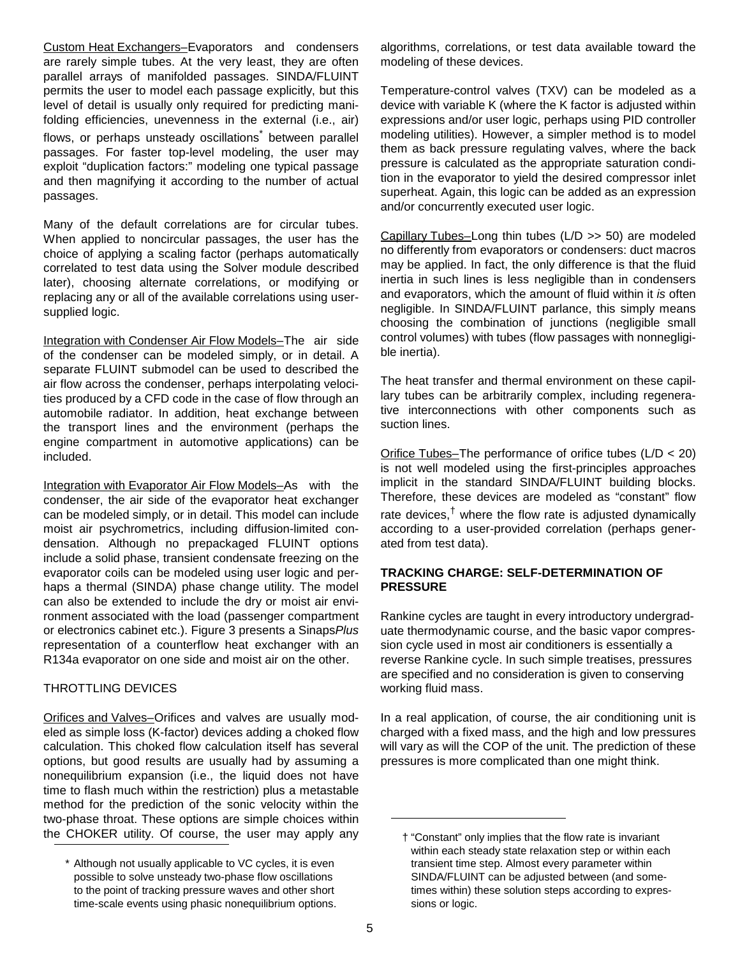Custom Heat Exchangers–Evaporators and condensers are rarely simple tubes. At the very least, they are often parallel arrays of manifolded passages. SINDA/FLUINT permits the user to model each passage explicitly, but this level of detail is usually only required for predicting manifolding efficiencies, unevenness in the external (i.e., air) flows, or perhaps unsteady oscillations<sup>\*</sup> between parallel passages. For faster top-level modeling, the user may exploit "duplication factors:" modeling one typical passage and then magnifying it according to the number of actual passages.

Many of the default correlations are for circular tubes. When applied to noncircular passages, the user has the choice of applying a scaling factor (perhaps automatically correlated to test data using the Solver module described later), choosing alternate correlations, or modifying or replacing any or all of the available correlations using usersupplied logic.

Integration with Condenser Air Flow Models–The air side of the condenser can be modeled simply, or in detail. A separate FLUINT submodel can be used to described the air flow across the condenser, perhaps interpolating velocities produced by a CFD code in the case of flow through an automobile radiator. In addition, heat exchange between the transport lines and the environment (perhaps the engine compartment in automotive applications) can be included.

Integration with Evaporator Air Flow Models–As with the condenser, the air side of the evaporator heat exchanger can be modeled simply, or in detail. This model can include moist air psychrometrics, including diffusion-limited condensation. Although no prepackaged FLUINT options include a solid phase, transient condensate freezing on the evaporator coils can be modeled using user logic and perhaps a thermal (SINDA) phase change utility. The model can also be extended to include the dry or moist air environment associated with the load (passenger compartment or electronics cabinet etc.). Figure 3 presents a Sinaps*Plus* representation of a counterflow heat exchanger with an R134a evaporator on one side and moist air on the other.

# THROTTLING DEVICES

Orifices and Valves–Orifices and valves are usually modeled as simple loss (K-factor) devices adding a choked flow calculation. This choked flow calculation itself has several options, but good results are usually had by assuming a nonequilibrium expansion (i.e., the liquid does not have time to flash much within the restriction) plus a metastable method for the prediction of the sonic velocity within the two-phase throat. These options are simple choices within the CHOKER utility. Of course, the user may apply any algorithms, correlations, or test data available toward the modeling of these devices.

Temperature-control valves (TXV) can be modeled as a device with variable K (where the K factor is adjusted within expressions and/or user logic, perhaps using PID controller modeling utilities). However, a simpler method is to model them as back pressure regulating valves, where the back pressure is calculated as the appropriate saturation condition in the evaporator to yield the desired compressor inlet superheat. Again, this logic can be added as an expression and/or concurrently executed user logic.

Capillary Tubes–Long thin tubes (L/D >> 50) are modeled no differently from evaporators or condensers: duct macros may be applied. In fact, the only difference is that the fluid inertia in such lines is less negligible than in condensers and evaporators, which the amount of fluid within it *is* often negligible. In SINDA/FLUINT parlance, this simply means choosing the combination of junctions (negligible small control volumes) with tubes (flow passages with nonnegligible inertia).

The heat transfer and thermal environment on these capillary tubes can be arbitrarily complex, including regenerative interconnections with other components such as suction lines.

Orifice Tubes–The performance of orifice tubes (L/D < 20) is not well modeled using the first-principles approaches implicit in the standard SINDA/FLUINT building blocks. Therefore, these devices are modeled as "constant" flow rate devices,<sup>†</sup> where the flow rate is adjusted dynamically according to a user-provided correlation (perhaps generated from test data).

## **TRACKING CHARGE: SELF-DETERMINATION OF PRESSURE**

Rankine cycles are taught in every introductory undergraduate thermodynamic course, and the basic vapor compression cycle used in most air conditioners is essentially a reverse Rankine cycle. In such simple treatises, pressures are specified and no consideration is given to conserving working fluid mass.

In a real application, of course, the air conditioning unit is charged with a fixed mass, and the high and low pressures will vary as will the COP of the unit. The prediction of these pressures is more complicated than one might think.

<sup>\*</sup> Although not usually applicable to VC cycles, it is even possible to solve unsteady two-phase flow oscillations to the point of tracking pressure waves and other short time-scale events using phasic nonequilibrium options.

<sup>†</sup> "Constant" only implies that the flow rate is invariant within each steady state relaxation step or within each transient time step. Almost every parameter within SINDA/FLUINT can be adjusted between (and sometimes within) these solution steps according to expressions or logic.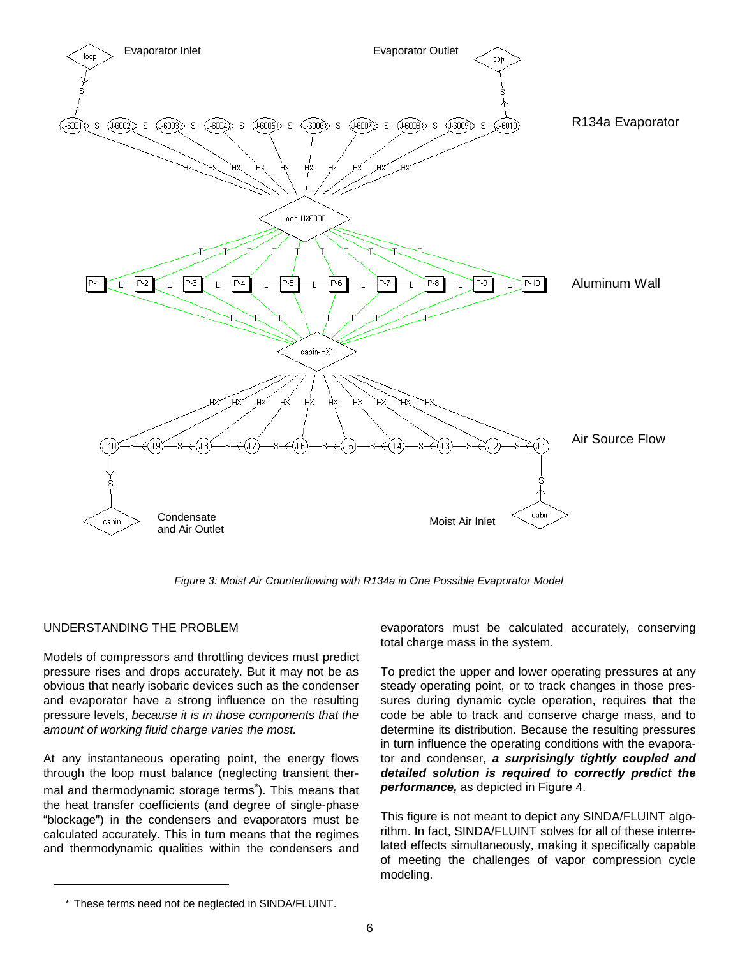

*Figure 3: Moist Air Counterflowing with R134a in One Possible Evaporator Model*

# UNDERSTANDING THE PROBLEM

Models of compressors and throttling devices must predict pressure rises and drops accurately. But it may not be as obvious that nearly isobaric devices such as the condenser and evaporator have a strong influence on the resulting pressure levels, *because it is in those components that the amount of working fluid charge varies the most.*

At any instantaneous operating point, the energy flows through the loop must balance (neglecting transient thermal and thermodynamic storage terms<sup>\*</sup>). This means that the heat transfer coefficients (and degree of single-phase "blockage") in the condensers and evaporators must be calculated accurately. This in turn means that the regimes and thermodynamic qualities within the condensers and

evaporators must be calculated accurately, conserving total charge mass in the system.

To predict the upper and lower operating pressures at any steady operating point, or to track changes in those pressures during dynamic cycle operation, requires that the code be able to track and conserve charge mass, and to determine its distribution. Because the resulting pressures in turn influence the operating conditions with the evaporator and condenser, *a surprisingly tightly coupled and detailed solution is required to correctly predict the performance,* as depicted in Figure 4.

This figure is not meant to depict any SINDA/FLUINT algorithm. In fact, SINDA/FLUINT solves for all of these interrelated effects simultaneously, making it specifically capable of meeting the challenges of vapor compression cycle modeling.

<sup>\*</sup> These terms need not be neglected in SINDA/FLUINT.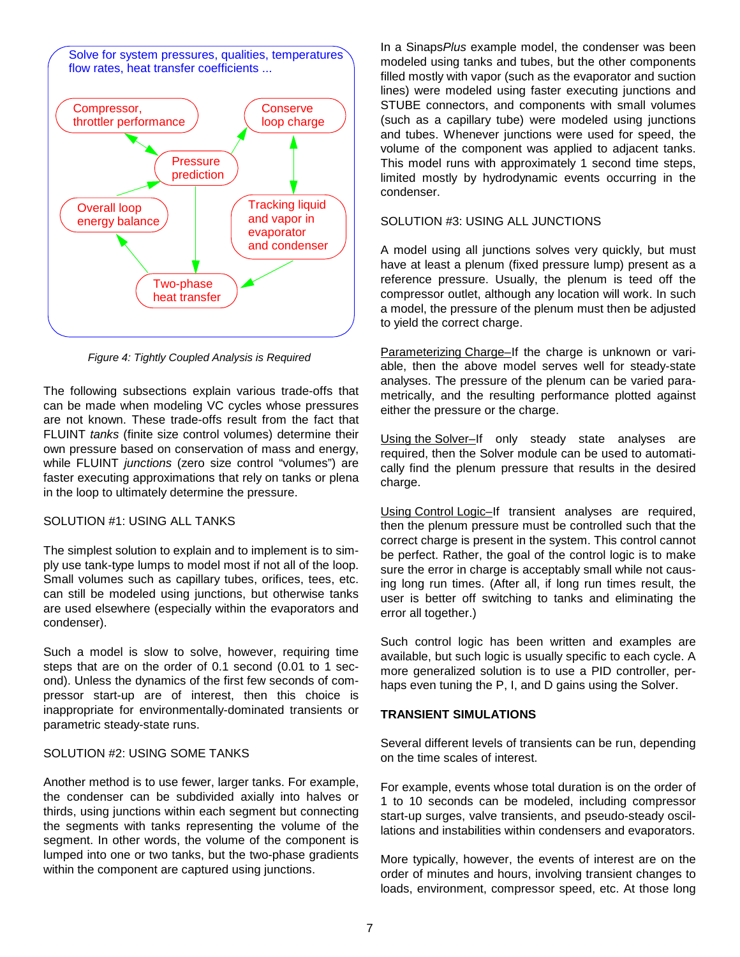

*Figure 4: Tightly Coupled Analysis is Required*

The following subsections explain various trade-offs that can be made when modeling VC cycles whose pressures are not known. These trade-offs result from the fact that FLUINT *tanks* (finite size control volumes) determine their own pressure based on conservation of mass and energy, while FLUINT *junctions* (zero size control "volumes") are faster executing approximations that rely on tanks or plena in the loop to ultimately determine the pressure.

## SOLUTION #1: USING ALL TANKS

The simplest solution to explain and to implement is to simply use tank-type lumps to model most if not all of the loop. Small volumes such as capillary tubes, orifices, tees, etc. can still be modeled using junctions, but otherwise tanks are used elsewhere (especially within the evaporators and condenser).

Such a model is slow to solve, however, requiring time steps that are on the order of 0.1 second (0.01 to 1 second). Unless the dynamics of the first few seconds of compressor start-up are of interest, then this choice is inappropriate for environmentally-dominated transients or parametric steady-state runs.

## SOLUTION #2: USING SOME TANKS

Another method is to use fewer, larger tanks. For example, the condenser can be subdivided axially into halves or thirds, using junctions within each segment but connecting the segments with tanks representing the volume of the segment. In other words, the volume of the component is lumped into one or two tanks, but the two-phase gradients within the component are captured using junctions.

In a Sinaps*Plus* example model, the condenser was been modeled using tanks and tubes, but the other components filled mostly with vapor (such as the evaporator and suction lines) were modeled using faster executing junctions and STUBE connectors, and components with small volumes (such as a capillary tube) were modeled using junctions and tubes. Whenever junctions were used for speed, the volume of the component was applied to adjacent tanks. This model runs with approximately 1 second time steps, limited mostly by hydrodynamic events occurring in the condenser.

## SOLUTION #3: USING ALL JUNCTIONS

A model using all junctions solves very quickly, but must have at least a plenum (fixed pressure lump) present as a reference pressure. Usually, the plenum is teed off the compressor outlet, although any location will work. In such a model, the pressure of the plenum must then be adjusted to yield the correct charge.

Parameterizing Charge-If the charge is unknown or variable, then the above model serves well for steady-state analyses. The pressure of the plenum can be varied parametrically, and the resulting performance plotted against either the pressure or the charge.

Using the Solver-If only steady state analyses are required, then the Solver module can be used to automatically find the plenum pressure that results in the desired charge.

Using Control Logic–If transient analyses are required, then the plenum pressure must be controlled such that the correct charge is present in the system. This control cannot be perfect. Rather, the goal of the control logic is to make sure the error in charge is acceptably small while not causing long run times. (After all, if long run times result, the user is better off switching to tanks and eliminating the error all together.)

Such control logic has been written and examples are available, but such logic is usually specific to each cycle. A more generalized solution is to use a PID controller, perhaps even tuning the P, I, and D gains using the Solver.

# **TRANSIENT SIMULATIONS**

Several different levels of transients can be run, depending on the time scales of interest.

For example, events whose total duration is on the order of 1 to 10 seconds can be modeled, including compressor start-up surges, valve transients, and pseudo-steady oscillations and instabilities within condensers and evaporators.

More typically, however, the events of interest are on the order of minutes and hours, involving transient changes to loads, environment, compressor speed, etc. At those long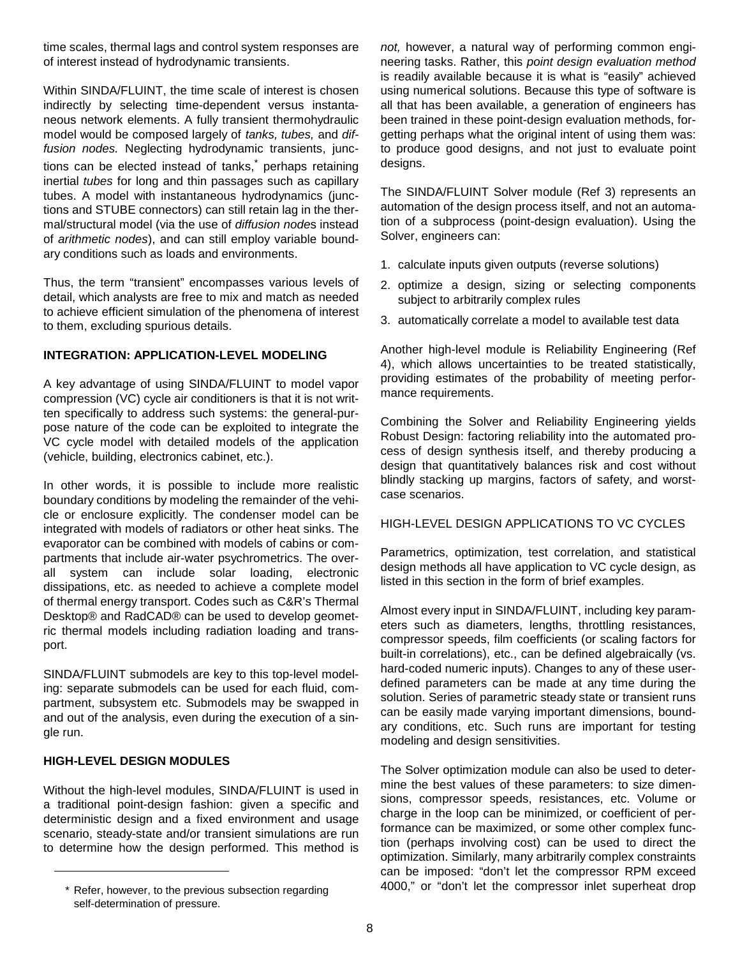time scales, thermal lags and control system responses are of interest instead of hydrodynamic transients.

Within SINDA/FLUINT, the time scale of interest is chosen indirectly by selecting time-dependent versus instantaneous network elements. A fully transient thermohydraulic model would be composed largely of *tanks, tubes,* and *diffusion nodes.* Neglecting hydrodynamic transients, junctions can be elected instead of tanks,<sup>\*</sup> perhaps retaining inertial *tubes* for long and thin passages such as capillary tubes. A model with instantaneous hydrodynamics (junctions and STUBE connectors) can still retain lag in the thermal/structural model (via the use of *diffusion node*s instead of *arithmetic nodes*), and can still employ variable boundary conditions such as loads and environments.

Thus, the term "transient" encompasses various levels of detail, which analysts are free to mix and match as needed to achieve efficient simulation of the phenomena of interest to them, excluding spurious details.

# **INTEGRATION: APPLICATION-LEVEL MODELING**

A key advantage of using SINDA/FLUINT to model vapor compression (VC) cycle air conditioners is that it is not written specifically to address such systems: the general-purpose nature of the code can be exploited to integrate the VC cycle model with detailed models of the application (vehicle, building, electronics cabinet, etc.).

In other words, it is possible to include more realistic boundary conditions by modeling the remainder of the vehicle or enclosure explicitly. The condenser model can be integrated with models of radiators or other heat sinks. The evaporator can be combined with models of cabins or compartments that include air-water psychrometrics. The overall system can include solar loading, electronic dissipations, etc. as needed to achieve a complete model of thermal energy transport. Codes such as C&R's Thermal Desktop® and RadCAD® can be used to develop geometric thermal models including radiation loading and transport.

SINDA/FLUINT submodels are key to this top-level modeling: separate submodels can be used for each fluid, compartment, subsystem etc. Submodels may be swapped in and out of the analysis, even during the execution of a single run.

## **HIGH-LEVEL DESIGN MODULES**

Without the high-level modules, SINDA/FLUINT is used in a traditional point-design fashion: given a specific and deterministic design and a fixed environment and usage scenario, steady-state and/or transient simulations are run to determine how the design performed. This method is

*not,* however, a natural way of performing common engineering tasks. Rather, this *point design evaluation method* is readily available because it is what is "easily" achieved using numerical solutions. Because this type of software is all that has been available, a generation of engineers has been trained in these point-design evaluation methods, forgetting perhaps what the original intent of using them was: to produce good designs, and not just to evaluate point designs.

The SINDA/FLUINT Solver module (Ref 3) represents an automation of the design process itself, and not an automation of a subprocess (point-design evaluation). Using the Solver, engineers can:

- 1. calculate inputs given outputs (reverse solutions)
- 2. optimize a design, sizing or selecting components subject to arbitrarily complex rules
- 3. automatically correlate a model to available test data

Another high-level module is Reliability Engineering (Ref 4), which allows uncertainties to be treated statistically, providing estimates of the probability of meeting performance requirements.

Combining the Solver and Reliability Engineering yields Robust Design: factoring reliability into the automated process of design synthesis itself, and thereby producing a design that quantitatively balances risk and cost without blindly stacking up margins, factors of safety, and worstcase scenarios.

## HIGH-LEVEL DESIGN APPLICATIONS TO VC CYCLES

Parametrics, optimization, test correlation, and statistical design methods all have application to VC cycle design, as listed in this section in the form of brief examples.

Almost every input in SINDA/FLUINT, including key parameters such as diameters, lengths, throttling resistances, compressor speeds, film coefficients (or scaling factors for built-in correlations), etc., can be defined algebraically (vs. hard-coded numeric inputs). Changes to any of these userdefined parameters can be made at any time during the solution. Series of parametric steady state or transient runs can be easily made varying important dimensions, boundary conditions, etc. Such runs are important for testing modeling and design sensitivities.

The Solver optimization module can also be used to determine the best values of these parameters: to size dimensions, compressor speeds, resistances, etc. Volume or charge in the loop can be minimized, or coefficient of performance can be maximized, or some other complex function (perhaps involving cost) can be used to direct the optimization. Similarly, many arbitrarily complex constraints can be imposed: "don't let the compressor RPM exceed \* Refer, however, to the previous subsection regarding  $\sim$  4000," or "don't let the compressor inlet superheat drop

self-determination of pressure.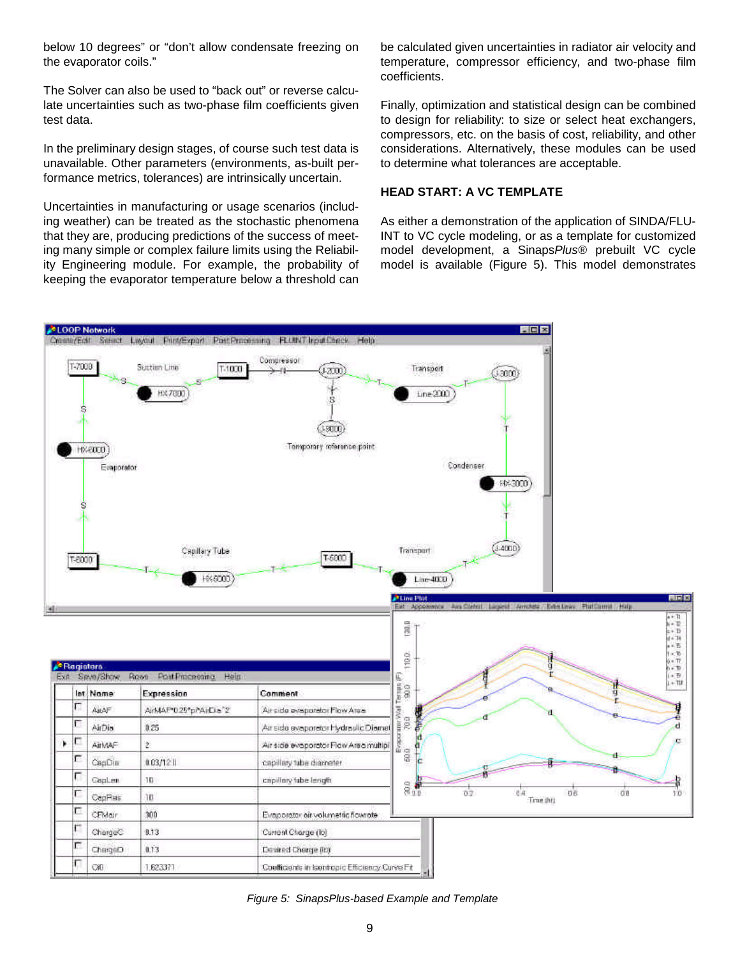below 10 degrees" or "don't allow condensate freezing on the evaporator coils."

The Solver can also be used to "back out" or reverse calculate uncertainties such as two-phase film coefficients given test data.

In the preliminary design stages, of course such test data is unavailable. Other parameters (environments, as-built performance metrics, tolerances) are intrinsically uncertain.

Uncertainties in manufacturing or usage scenarios (including weather) can be treated as the stochastic phenomena that they are, producing predictions of the success of meeting many simple or complex failure limits using the Reliability Engineering module. For example, the probability of keeping the evaporator temperature below a threshold can

be calculated given uncertainties in radiator air velocity and temperature, compressor efficiency, and two-phase film coefficients.

Finally, optimization and statistical design can be combined to design for reliability: to size or select heat exchangers, compressors, etc. on the basis of cost, reliability, and other considerations. Alternatively, these modules can be used to determine what tolerances are acceptable.

## **HEAD START: A VC TEMPLATE**

As either a demonstration of the application of SINDA/FLU-INT to VC cycle modeling, or as a template for customized model development, a Sinaps*Plus®* prebuilt VC cycle model is available (Figure 5). This model demonstrates



*Figure 5: SinapsPlus-based Example and Template*